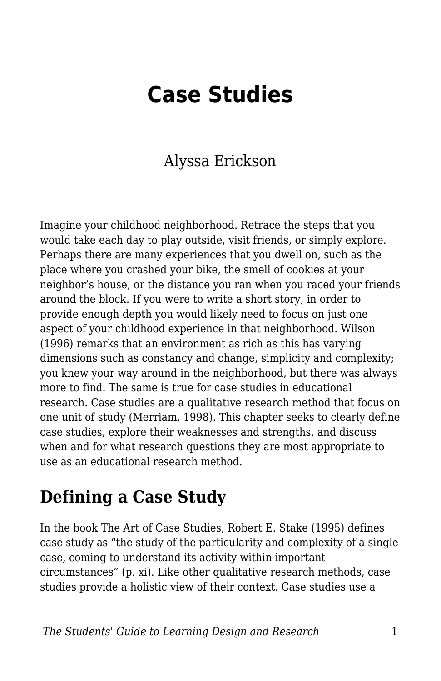# **Case Studies**

#### Alyssa Erickson

Imagine your childhood neighborhood. Retrace the steps that you would take each day to play outside, visit friends, or simply explore. Perhaps there are many experiences that you dwell on, such as the place where you crashed your bike, the smell of cookies at your neighbor's house, or the distance you ran when you raced your friends around the block. If you were to write a short story, in order to provide enough depth you would likely need to focus on just one aspect of your childhood experience in that neighborhood. Wilson (1996) remarks that an environment as rich as this has varying dimensions such as constancy and change, simplicity and complexity; you knew your way around in the neighborhood, but there was always more to find. The same is true for case studies in educational research. Case studies are a qualitative research method that focus on one unit of study (Merriam, 1998). This chapter seeks to clearly define case studies, explore their weaknesses and strengths, and discuss when and for what research questions they are most appropriate to use as an educational research method.

### **Defining a Case Study**

In the book The Art of Case Studies, Robert E. Stake (1995) defines case study as "the study of the particularity and complexity of a single case, coming to understand its activity within important circumstances" (p. xi). Like other qualitative research methods, case studies provide a holistic view of their context. Case studies use a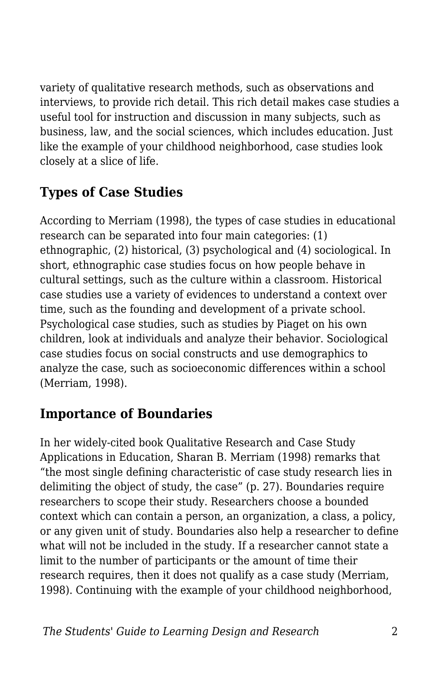variety of qualitative research methods, such as observations and interviews, to provide rich detail. This rich detail makes case studies a useful tool for instruction and discussion in many subjects, such as business, law, and the social sciences, which includes education. Just like the example of your childhood neighborhood, case studies look closely at a slice of life.

#### **Types of Case Studies**

According to Merriam (1998), the types of case studies in educational research can be separated into four main categories: (1) ethnographic, (2) historical, (3) psychological and (4) sociological. In short, ethnographic case studies focus on how people behave in cultural settings, such as the culture within a classroom. Historical case studies use a variety of evidences to understand a context over time, such as the founding and development of a private school. Psychological case studies, such as studies by Piaget on his own children, look at individuals and analyze their behavior. Sociological case studies focus on social constructs and use demographics to analyze the case, such as socioeconomic differences within a school (Merriam, 1998).

#### **Importance of Boundaries**

In her widely-cited book Qualitative Research and Case Study Applications in Education, Sharan B. Merriam (1998) remarks that "the most single defining characteristic of case study research lies in delimiting the object of study, the case" (p. 27). Boundaries require researchers to scope their study. Researchers choose a bounded context which can contain a person, an organization, a class, a policy, or any given unit of study. Boundaries also help a researcher to define what will not be included in the study. If a researcher cannot state a limit to the number of participants or the amount of time their research requires, then it does not qualify as a case study (Merriam, 1998). Continuing with the example of your childhood neighborhood,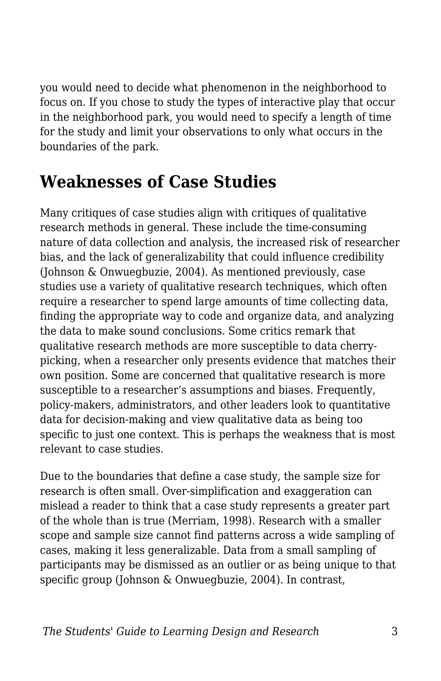you would need to decide what phenomenon in the neighborhood to focus on. If you chose to study the types of interactive play that occur in the neighborhood park, you would need to specify a length of time for the study and limit your observations to only what occurs in the boundaries of the park.

# **Weaknesses of Case Studies**

Many critiques of case studies align with critiques of qualitative research methods in general. These include the time-consuming nature of data collection and analysis, the increased risk of researcher bias, and the lack of generalizability that could influence credibility (Johnson & Onwuegbuzie, 2004). As mentioned previously, case studies use a variety of qualitative research techniques, which often require a researcher to spend large amounts of time collecting data, finding the appropriate way to code and organize data, and analyzing the data to make sound conclusions. Some critics remark that qualitative research methods are more susceptible to data cherrypicking, when a researcher only presents evidence that matches their own position. Some are concerned that qualitative research is more susceptible to a researcher's assumptions and biases. Frequently, policy-makers, administrators, and other leaders look to quantitative data for decision-making and view qualitative data as being too specific to just one context. This is perhaps the weakness that is most relevant to case studies.

Due to the boundaries that define a case study, the sample size for research is often small. Over-simplification and exaggeration can mislead a reader to think that a case study represents a greater part of the whole than is true (Merriam, 1998). Research with a smaller scope and sample size cannot find patterns across a wide sampling of cases, making it less generalizable. Data from a small sampling of participants may be dismissed as an outlier or as being unique to that specific group (Johnson & Onwuegbuzie, 2004). In contrast,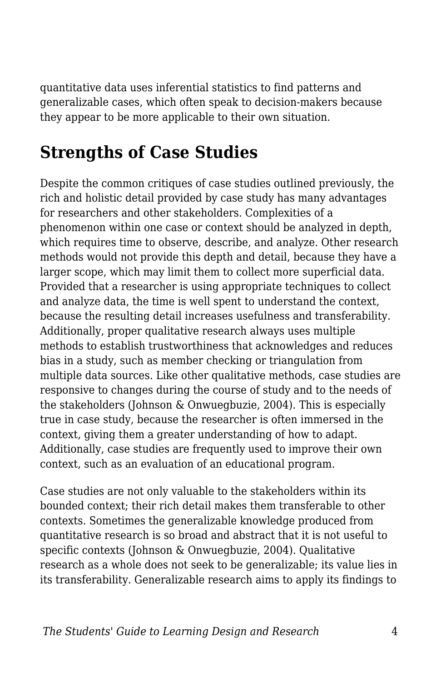quantitative data uses inferential statistics to find patterns and generalizable cases, which often speak to decision-makers because they appear to be more applicable to their own situation.

### **Strengths of Case Studies**

Despite the common critiques of case studies outlined previously, the rich and holistic detail provided by case study has many advantages for researchers and other stakeholders. Complexities of a phenomenon within one case or context should be analyzed in depth, which requires time to observe, describe, and analyze. Other research methods would not provide this depth and detail, because they have a larger scope, which may limit them to collect more superficial data. Provided that a researcher is using appropriate techniques to collect and analyze data, the time is well spent to understand the context, because the resulting detail increases usefulness and transferability. Additionally, proper qualitative research always uses multiple methods to establish trustworthiness that acknowledges and reduces bias in a study, such as member checking or triangulation from multiple data sources. Like other qualitative methods, case studies are responsive to changes during the course of study and to the needs of the stakeholders (Johnson & Onwuegbuzie, 2004). This is especially true in case study, because the researcher is often immersed in the context, giving them a greater understanding of how to adapt. Additionally, case studies are frequently used to improve their own context, such as an evaluation of an educational program.

Case studies are not only valuable to the stakeholders within its bounded context; their rich detail makes them transferable to other contexts. Sometimes the generalizable knowledge produced from quantitative research is so broad and abstract that it is not useful to specific contexts (Johnson & Onwuegbuzie, 2004). Qualitative research as a whole does not seek to be generalizable; its value lies in its transferability. Generalizable research aims to apply its findings to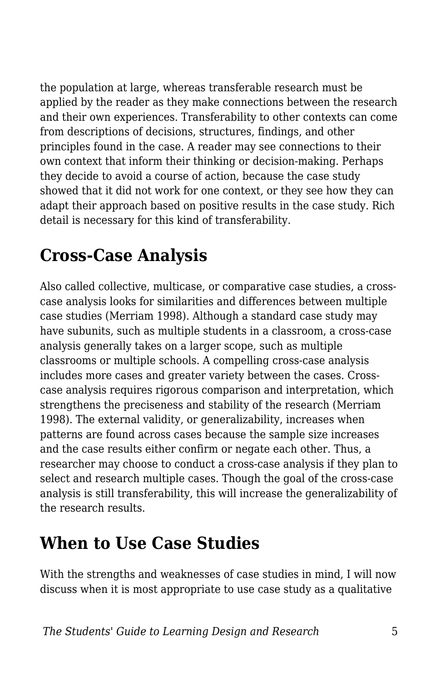the population at large, whereas transferable research must be applied by the reader as they make connections between the research and their own experiences. Transferability to other contexts can come from descriptions of decisions, structures, findings, and other principles found in the case. A reader may see connections to their own context that inform their thinking or decision-making. Perhaps they decide to avoid a course of action, because the case study showed that it did not work for one context, or they see how they can adapt their approach based on positive results in the case study. Rich detail is necessary for this kind of transferability.

# **Cross-Case Analysis**

Also called collective, multicase, or comparative case studies, a crosscase analysis looks for similarities and differences between multiple case studies (Merriam 1998). Although a standard case study may have subunits, such as multiple students in a classroom, a cross-case analysis generally takes on a larger scope, such as multiple classrooms or multiple schools. A compelling cross-case analysis includes more cases and greater variety between the cases. Crosscase analysis requires rigorous comparison and interpretation, which strengthens the preciseness and stability of the research (Merriam 1998). The external validity, or generalizability, increases when patterns are found across cases because the sample size increases and the case results either confirm or negate each other. Thus, a researcher may choose to conduct a cross-case analysis if they plan to select and research multiple cases. Though the goal of the cross-case analysis is still transferability, this will increase the generalizability of the research results.

### **When to Use Case Studies**

With the strengths and weaknesses of case studies in mind, I will now discuss when it is most appropriate to use case study as a qualitative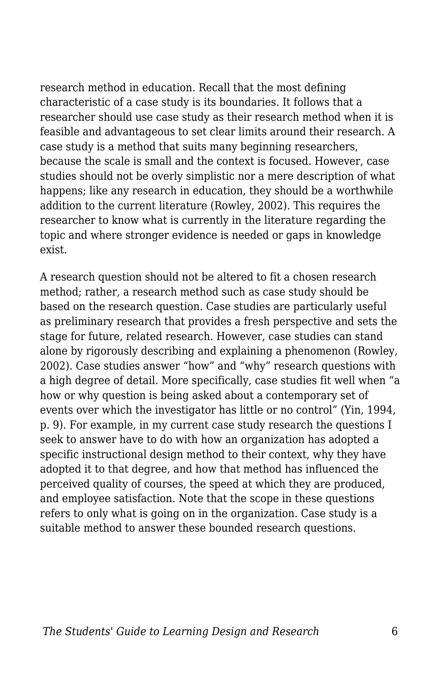research method in education. Recall that the most defining characteristic of a case study is its boundaries. It follows that a researcher should use case study as their research method when it is feasible and advantageous to set clear limits around their research. A case study is a method that suits many beginning researchers, because the scale is small and the context is focused. However, case studies should not be overly simplistic nor a mere description of what happens; like any research in education, they should be a worthwhile addition to the current literature (Rowley, 2002). This requires the researcher to know what is currently in the literature regarding the topic and where stronger evidence is needed or gaps in knowledge exist.

A research question should not be altered to fit a chosen research method; rather, a research method such as case study should be based on the research question. Case studies are particularly useful as preliminary research that provides a fresh perspective and sets the stage for future, related research. However, case studies can stand alone by rigorously describing and explaining a phenomenon (Rowley, 2002). Case studies answer "how" and "why" research questions with a high degree of detail. More specifically, case studies fit well when "a how or why question is being asked about a contemporary set of events over which the investigator has little or no control" (Yin, 1994, p. 9). For example, in my current case study research the questions I seek to answer have to do with how an organization has adopted a specific instructional design method to their context, why they have adopted it to that degree, and how that method has influenced the perceived quality of courses, the speed at which they are produced, and employee satisfaction. Note that the scope in these questions refers to only what is going on in the organization. Case study is a suitable method to answer these bounded research questions.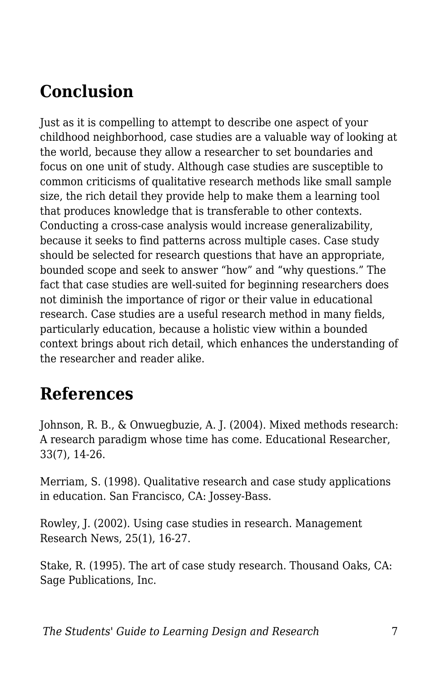# **Conclusion**

Just as it is compelling to attempt to describe one aspect of your childhood neighborhood, case studies are a valuable way of looking at the world, because they allow a researcher to set boundaries and focus on one unit of study. Although case studies are susceptible to common criticisms of qualitative research methods like small sample size, the rich detail they provide help to make them a learning tool that produces knowledge that is transferable to other contexts. Conducting a cross-case analysis would increase generalizability, because it seeks to find patterns across multiple cases. Case study should be selected for research questions that have an appropriate, bounded scope and seek to answer "how" and "why questions." The fact that case studies are well-suited for beginning researchers does not diminish the importance of rigor or their value in educational research. Case studies are a useful research method in many fields, particularly education, because a holistic view within a bounded context brings about rich detail, which enhances the understanding of the researcher and reader alike.

## **References**

Johnson, R. B., & Onwuegbuzie, A. J. (2004). Mixed methods research: A research paradigm whose time has come. Educational Researcher, 33(7), 14-26.

Merriam, S. (1998). Qualitative research and case study applications in education. San Francisco, CA: Jossey-Bass.

Rowley, J. (2002). Using case studies in research. Management Research News, 25(1), 16-27.

Stake, R. (1995). The art of case study research. Thousand Oaks, CA: Sage Publications, Inc.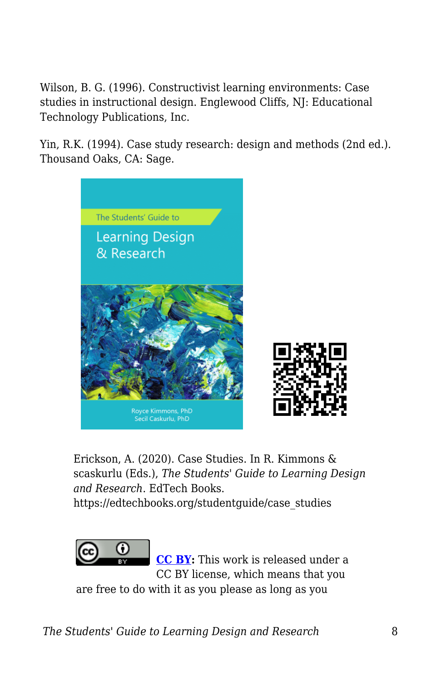Wilson, B. G. (1996). Constructivist learning environments: Case studies in instructional design. Englewood Cliffs, NJ: Educational Technology Publications, Inc.

Yin, R.K. (1994). Case study research: design and methods (2nd ed.). Thousand Oaks, CA: Sage.



Erickson, A. (2020). Case Studies. In R. Kimmons & scaskurlu (Eds.), *The Students' Guide to Learning Design and Research*. EdTech Books.

https://edtechbooks.org/studentguide/case\_studies



**[CC BY:](https://creativecommons.org/licenses/by/4.0)** This work is released under a CC BY license, which means that you

are free to do with it as you please as long as you